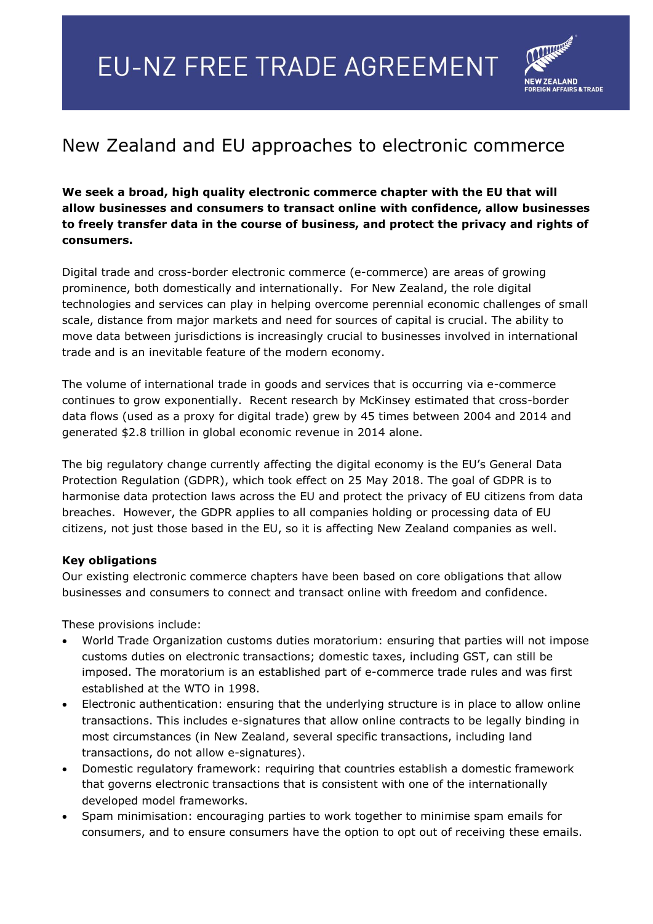## **EU-NZ FREE TRADE AGREEMENT**



## New Zealand and EU approaches to electronic commerce

**We seek a broad, high quality electronic commerce chapter with the EU that will allow businesses and consumers to transact online with confidence, allow businesses to freely transfer data in the course of business, and protect the privacy and rights of consumers.**

Digital trade and cross-border electronic commerce (e-commerce) are areas of growing prominence, both domestically and internationally. For New Zealand, the role digital technologies and services can play in helping overcome perennial economic challenges of small scale, distance from major markets and need for sources of capital is crucial. The ability to move data between jurisdictions is increasingly crucial to businesses involved in international trade and is an inevitable feature of the modern economy.

The volume of international trade in goods and services that is occurring via e-commerce continues to grow exponentially. Recent research by McKinsey estimated that cross-border data flows (used as a proxy for digital trade) grew by 45 times between 2004 and 2014 and generated \$2.8 trillion in global economic revenue in 2014 alone.

The big regulatory change currently affecting the digital economy is the EU's General Data Protection Regulation (GDPR), which took effect on 25 May 2018. The goal of GDPR is to harmonise data protection laws across the EU and protect the privacy of EU citizens from data breaches. However, the GDPR applies to all companies holding or processing data of EU citizens, not just those based in the EU, so it is affecting New Zealand companies as well.

## **Key obligations**

Our existing electronic commerce chapters have been based on core obligations that allow businesses and consumers to connect and transact online with freedom and confidence.

These provisions include:

- World Trade Organization customs duties moratorium: ensuring that parties will not impose customs duties on electronic transactions; domestic taxes, including GST, can still be imposed. The moratorium is an established part of e-commerce trade rules and was first established at the WTO in 1998.
- Electronic authentication: ensuring that the underlying structure is in place to allow online transactions. This includes e-signatures that allow online contracts to be legally binding in most circumstances (in New Zealand, several specific transactions, including land transactions, do not allow e-signatures).
- Domestic regulatory framework: requiring that countries establish a domestic framework that governs electronic transactions that is consistent with one of the internationally developed model frameworks.
- Spam minimisation: encouraging parties to work together to minimise spam emails for consumers, and to ensure consumers have the option to opt out of receiving these emails.